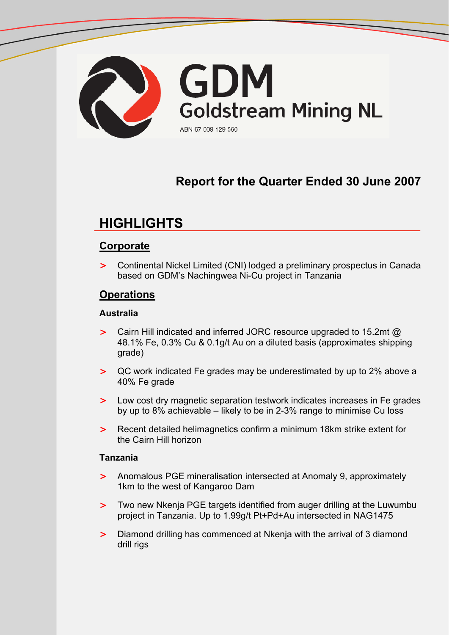

# **Report for the Quarter Ended 30 June 2007**

# **HIGHLIGHTS**

## **Corporate**

> Continental Nickel Limited (CNI) lodged a preliminary prospectus in Canada based on GDM's Nachingwea Ni-Cu project in Tanzania

## **Operations**

### **Australia**

- > Cairn Hill indicated and inferred JORC resource upgraded to 15.2mt @ 48.1% Fe, 0.3% Cu & 0.1g/t Au on a diluted basis (approximates shipping grade)
- > QC work indicated Fe grades may be underestimated by up to 2% above a 40% Fe grade
- > Low cost dry magnetic separation testwork indicates increases in Fe grades by up to 8% achievable – likely to be in 2-3% range to minimise Cu loss
- > Recent detailed helimagnetics confirm a minimum 18km strike extent for the Cairn Hill horizon

### **Tanzania**

- > Anomalous PGE mineralisation intersected at Anomaly 9, approximately 1km to the west of Kangaroo Dam
- > Two new Nkenja PGE targets identified from auger drilling at the Luwumbu project in Tanzania. Up to 1.99g/t Pt+Pd+Au intersected in NAG1475
- > Diamond drilling has commenced at Nkenja with the arrival of 3 diamond drill rigs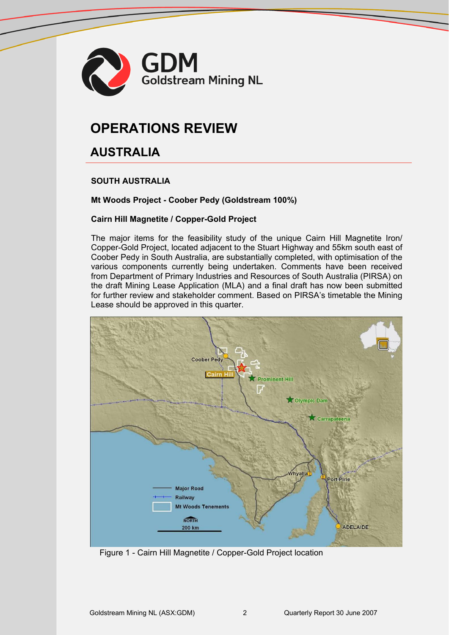

# **OPERATIONS REVIEW**

# **AUSTRALIA**

### **SOUTH AUSTRALIA**

#### **Mt Woods Project - Coober Pedy (Goldstream 100%)**

#### **Cairn Hill Magnetite / Copper-Gold Project**

The major items for the feasibility study of the unique Cairn Hill Magnetite Iron/ Copper-Gold Project, located adjacent to the Stuart Highway and 55km south east of Coober Pedy in South Australia, are substantially completed, with optimisation of the various components currently being undertaken. Comments have been received from Department of Primary Industries and Resources of South Australia (PIRSA) on the draft Mining Lease Application (MLA) and a final draft has now been submitted for further review and stakeholder comment. Based on PIRSA's timetable the Mining Lease should be approved in this quarter.



Figure 1 - Cairn Hill Magnetite / Copper-Gold Project location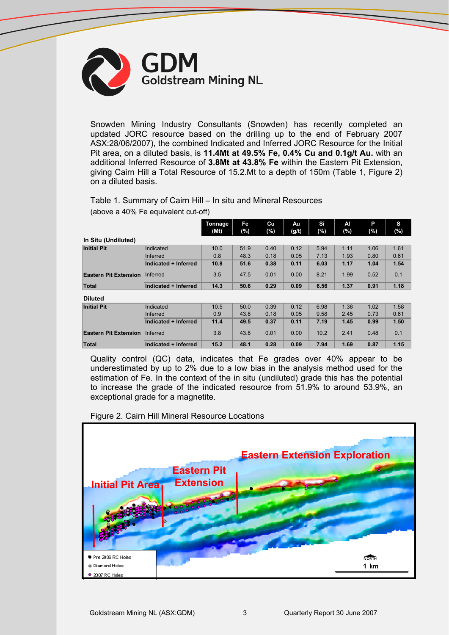

Snowden Mining Industry Consultants (Snowden) has recently completed an updated JORC resource based on the drilling up to the end of February 2007 ASX:28/06/2007), the combined Indicated and Inferred JORC Resource for the Initial Pit area, on a diluted basis, is **11.4Mt at 49.5% Fe, 0.4% Cu and 0.1g/t Au.** with an additional Inferred Resource of **3.8Mt at 43.8% Fe** within the Eastern Pit Extension, giving Cairn Hill a Total Resource of 15.2.Mt to a depth of 150m (Table 1, Figure 2) on a diluted basis.

### Table 1. Summary of Cairn Hill – In situ and Mineral Resources

(above a 40% Fe equivalent cut-off)

|                              |                      | Tonnage<br>(Mt) | Fe<br>(%) | Cu<br>$(\%)$ | Au<br>(g/t) | Si<br>$(\%)$ | Al<br>(%) | Р<br>$(\%)$ | s<br>(%) |
|------------------------------|----------------------|-----------------|-----------|--------------|-------------|--------------|-----------|-------------|----------|
| In Situ (Undiluted)          |                      |                 |           |              |             |              |           |             |          |
| <b>Initial Pit</b>           | Indicated            | 10.0            | 51.9      | 0.40         | 0.12        | 5.94         | 1.11      | 1.06        | 1.61     |
|                              | <b>Inferred</b>      | 0.8             | 48.3      | 0.18         | 0.05        | 7.13         | 1.93      | 0.80        | 0.61     |
|                              | Indicated + Inferred | 10.8            | 51.6      | 0.38         | 0.11        | 6.03         | 1.17      | 1.04        | 1.54     |
| <b>Eastern Pit Extension</b> | Inferred             | 3.5             | 47.5      | 0.01         | 0.00        | 8.21         | 1.99      | 0.52        | 0.1      |
| Total                        | Indicated + Inferred | 14.3            | 50.6      | 0.29         | 0.09        | 6.56         | 1.37      | 0.91        | 1.18     |
| <b>Diluted</b>               |                      |                 |           |              |             |              |           |             |          |
| <b>Initial Pit</b>           | Indicated            | 10.5            | 50.0      | 0.39         | 0.12        | 6.98         | 1.36      | 1.02        | 1.58     |
|                              | Inferred             | 0.9             | 43.8      | 0.18         | 0.05        | 9.58         | 2.45      | 0.73        | 0.61     |
|                              | Indicated + Inferred | 11.4            | 49.5      | 0.37         | 0.11        | 7.19         | 1.45      | 0.99        | 1.50     |
| <b>Eastern Pit Extension</b> | Inferred             | 3.8             | 43.8      | 0.01         | 0.00        | 10.2         | 2.41      | 0.48        | 0.1      |
| Total                        | Indicated + Inferred | 15.2            | 48.1      | 0.28         | 0.09        | 7.94         | 1.69      | 0.87        | 1.15     |

Quality control (QC) data, indicates that Fe grades over 40% appear to be underestimated by up to 2% due to a low bias in the analysis method used for the estimation of Fe. In the context of the in situ (undiluted) grade this has the potential to increase the grade of the indicated resource from 51.9% to around 53.9%, an exceptional grade for a magnetite.

**Eastern Extension Exploration Eastern Pit Extension Initial Pit Area** Pre 2006 RC Holes **NORTH** ♦ Diamond Holes  $1 km$ 2007 RC Holes

Figure 2. Cairn Hill Mineral Resource Locations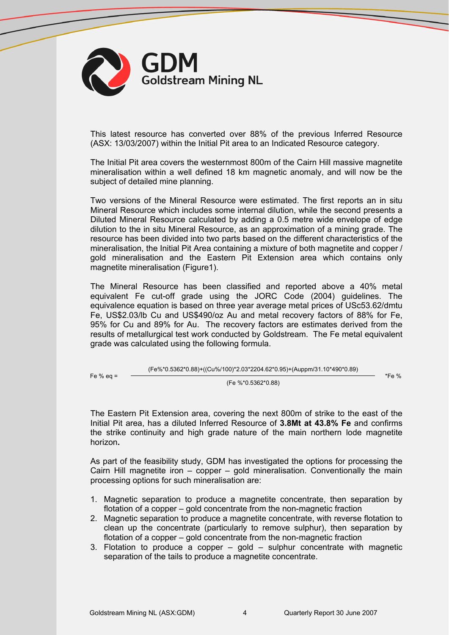

This latest resource has converted over 88% of the previous Inferred Resource (ASX: 13/03/2007) within the Initial Pit area to an Indicated Resource category.

The Initial Pit area covers the westernmost 800m of the Cairn Hill massive magnetite mineralisation within a well defined 18 km magnetic anomaly, and will now be the subject of detailed mine planning.

Two versions of the Mineral Resource were estimated. The first reports an in situ Mineral Resource which includes some internal dilution, while the second presents a Diluted Mineral Resource calculated by adding a 0.5 metre wide envelope of edge dilution to the in situ Mineral Resource, as an approximation of a mining grade. The resource has been divided into two parts based on the different characteristics of the mineralisation, the Initial Pit Area containing a mixture of both magnetite and copper / gold mineralisation and the Eastern Pit Extension area which contains only magnetite mineralisation (Figure1).

The Mineral Resource has been classified and reported above a 40% metal equivalent Fe cut-off grade using the JORC Code (2004) guidelines. The equivalence equation is based on three year average metal prices of USc53.62/dmtu Fe, US\$2.03/lb Cu and US\$490/oz Au and metal recovery factors of 88% for Fe, 95% for Cu and 89% for Au. The recovery factors are estimates derived from the results of metallurgical test work conducted by Goldstream. The Fe metal equivalent grade was calculated using the following formula.

(Fe%\*0.5362\*0.88)+((Cu%/100)\*2.03\*2204.62\*0.95)+(Auppm/31.10\*490\*0.89)

Fe %

(Fe %\*0.5362\*0.88)

\*Fe %

The Eastern Pit Extension area, covering the next 800m of strike to the east of the Initial Pit area, has a diluted Inferred Resource of **3.8Mt at 43.8% Fe** and confirms the strike continuity and high grade nature of the main northern lode magnetite horizon**.**

As part of the feasibility study, GDM has investigated the options for processing the Cairn Hill magnetite iron – copper – gold mineralisation. Conventionally the main processing options for such mineralisation are:

- 1. Magnetic separation to produce a magnetite concentrate, then separation by flotation of a copper – gold concentrate from the non-magnetic fraction
- 2. Magnetic separation to produce a magnetite concentrate, with reverse flotation to clean up the concentrate (particularly to remove sulphur), then separation by flotation of a copper – gold concentrate from the non-magnetic fraction
- 3. Flotation to produce a copper gold sulphur concentrate with magnetic separation of the tails to produce a magnetite concentrate.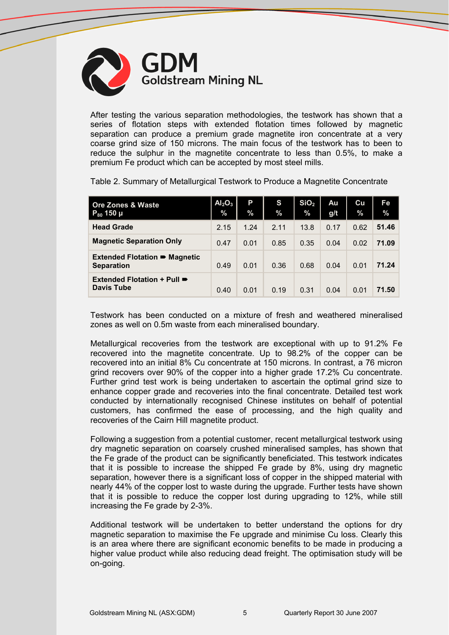

After testing the various separation methodologies, the testwork has shown that a series of flotation steps with extended flotation times followed by magnetic separation can produce a premium grade magnetite iron concentrate at a very coarse grind size of 150 microns. The main focus of the testwork has to been to reduce the sulphur in the magnetite concentrate to less than 0.5%, to make a premium Fe product which can be accepted by most steel mills.

| <b>Ore Zones &amp; Waste</b><br>$P_{80}$ 150 µ            | Al <sub>2</sub> O <sub>3</sub><br>$\frac{9}{6}$ | P<br>$\%$ | S<br>$\%$ | SiO <sub>2</sub><br>$\frac{0}{2}$ | Au<br>g/t | Cu<br>$\frac{0}{0}$ | Fe<br>$\%$ |
|-----------------------------------------------------------|-------------------------------------------------|-----------|-----------|-----------------------------------|-----------|---------------------|------------|
| <b>Head Grade</b>                                         | 2.15                                            | 1.24      | 2.11      | 13.8                              | 0.17      | 0.62                | 51.46      |
| <b>Magnetic Separation Only</b>                           | 0.47                                            | 0.01      | 0.85      | 0.35                              | 0.04      | 0.02                | 71.09      |
| <b>Extended Flotation ■ Magnetic</b><br><b>Separation</b> | 0.49                                            | 0.01      | 0.36      | 0.68                              | 0.04      | 0.01                | 71.24      |
| Extended Flotation + Pull ■<br><b>Davis Tube</b>          | 0.40                                            | 0.01      | 0.19      | 0.31                              | 0.04      | 0.01                | 71.50      |

Table 2. Summary of Metallurgical Testwork to Produce a Magnetite Concentrate

Testwork has been conducted on a mixture of fresh and weathered mineralised zones as well on 0.5m waste from each mineralised boundary.

Metallurgical recoveries from the testwork are exceptional with up to 91.2% Fe recovered into the magnetite concentrate. Up to 98.2% of the copper can be recovered into an initial 8% Cu concentrate at 150 microns. In contrast, a 76 micron grind recovers over 90% of the copper into a higher grade 17.2% Cu concentrate. Further grind test work is being undertaken to ascertain the optimal grind size to enhance copper grade and recoveries into the final concentrate. Detailed test work conducted by internationally recognised Chinese institutes on behalf of potential customers, has confirmed the ease of processing, and the high quality and recoveries of the Cairn Hill magnetite product.

Following a suggestion from a potential customer, recent metallurgical testwork using dry magnetic separation on coarsely crushed mineralised samples, has shown that the Fe grade of the product can be significantly beneficiated. This testwork indicates that it is possible to increase the shipped Fe grade by 8%, using dry magnetic separation, however there is a significant loss of copper in the shipped material with nearly 44% of the copper lost to waste during the upgrade. Further tests have shown that it is possible to reduce the copper lost during upgrading to 12%, while still increasing the Fe grade by 2-3%.

Additional testwork will be undertaken to better understand the options for dry magnetic separation to maximise the Fe upgrade and minimise Cu loss. Clearly this is an area where there are significant economic benefits to be made in producing a higher value product while also reducing dead freight. The optimisation study will be on-going.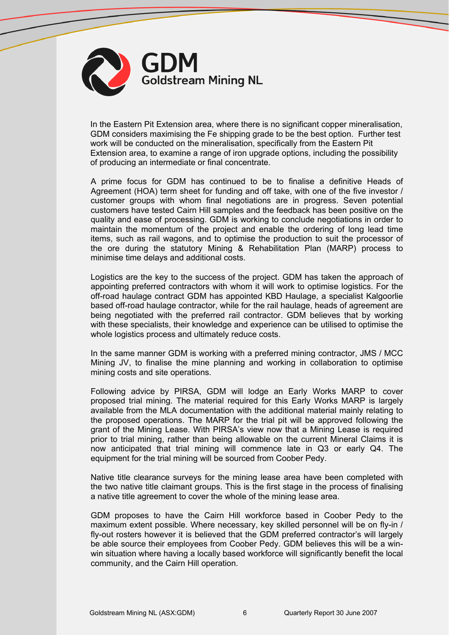

In the Eastern Pit Extension area, where there is no significant copper mineralisation, GDM considers maximising the Fe shipping grade to be the best option. Further test work will be conducted on the mineralisation, specifically from the Eastern Pit Extension area, to examine a range of iron upgrade options, including the possibility of producing an intermediate or final concentrate.

A prime focus for GDM has continued to be to finalise a definitive Heads of Agreement (HOA) term sheet for funding and off take, with one of the five investor / customer groups with whom final negotiations are in progress. Seven potential customers have tested Cairn Hill samples and the feedback has been positive on the quality and ease of processing. GDM is working to conclude negotiations in order to maintain the momentum of the project and enable the ordering of long lead time items, such as rail wagons, and to optimise the production to suit the processor of the ore during the statutory Mining & Rehabilitation Plan (MARP) process to minimise time delays and additional costs.

Logistics are the key to the success of the project. GDM has taken the approach of appointing preferred contractors with whom it will work to optimise logistics. For the off-road haulage contract GDM has appointed KBD Haulage, a specialist Kalgoorlie based off-road haulage contractor, while for the rail haulage, heads of agreement are being negotiated with the preferred rail contractor. GDM believes that by working with these specialists, their knowledge and experience can be utilised to optimise the whole logistics process and ultimately reduce costs.

In the same manner GDM is working with a preferred mining contractor, JMS / MCC Mining JV, to finalise the mine planning and working in collaboration to optimise mining costs and site operations.

Following advice by PIRSA, GDM will lodge an Early Works MARP to cover proposed trial mining. The material required for this Early Works MARP is largely available from the MLA documentation with the additional material mainly relating to the proposed operations. The MARP for the trial pit will be approved following the grant of the Mining Lease. With PIRSA's view now that a Mining Lease is required prior to trial mining, rather than being allowable on the current Mineral Claims it is now anticipated that trial mining will commence late in Q3 or early Q4. The equipment for the trial mining will be sourced from Coober Pedy.

Native title clearance surveys for the mining lease area have been completed with the two native title claimant groups. This is the first stage in the process of finalising a native title agreement to cover the whole of the mining lease area.

GDM proposes to have the Cairn Hill workforce based in Coober Pedy to the maximum extent possible. Where necessary, key skilled personnel will be on fly-in / fly-out rosters however it is believed that the GDM preferred contractor's will largely be able source their employees from Coober Pedy. GDM believes this will be a winwin situation where having a locally based workforce will significantly benefit the local community, and the Cairn Hill operation.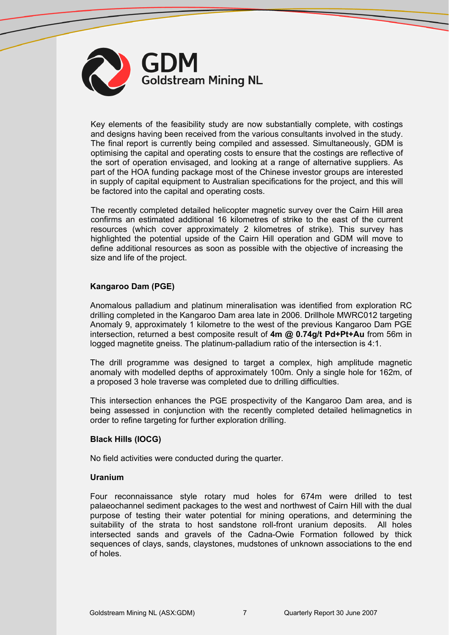

Key elements of the feasibility study are now substantially complete, with costings and designs having been received from the various consultants involved in the study. The final report is currently being compiled and assessed. Simultaneously, GDM is optimising the capital and operating costs to ensure that the costings are reflective of the sort of operation envisaged, and looking at a range of alternative suppliers. As part of the HOA funding package most of the Chinese investor groups are interested in supply of capital equipment to Australian specifications for the project, and this will be factored into the capital and operating costs.

The recently completed detailed helicopter magnetic survey over the Cairn Hill area confirms an estimated additional 16 kilometres of strike to the east of the current resources (which cover approximately 2 kilometres of strike). This survey has highlighted the potential upside of the Cairn Hill operation and GDM will move to define additional resources as soon as possible with the objective of increasing the size and life of the project.

### **Kangaroo Dam (PGE)**

Anomalous palladium and platinum mineralisation was identified from exploration RC drilling completed in the Kangaroo Dam area late in 2006. Drillhole MWRC012 targeting Anomaly 9, approximately 1 kilometre to the west of the previous Kangaroo Dam PGE intersection, returned a best composite result of **4m @ 0.74g/t Pd+Pt+Au** from 56m in logged magnetite gneiss. The platinum-palladium ratio of the intersection is 4:1.

The drill programme was designed to target a complex, high amplitude magnetic anomaly with modelled depths of approximately 100m. Only a single hole for 162m, of a proposed 3 hole traverse was completed due to drilling difficulties.

This intersection enhances the PGE prospectivity of the Kangaroo Dam area, and is being assessed in conjunction with the recently completed detailed helimagnetics in order to refine targeting for further exploration drilling.

#### **Black Hills (IOCG)**

No field activities were conducted during the quarter.

#### **Uranium**

Four reconnaissance style rotary mud holes for 674m were drilled to test palaeochannel sediment packages to the west and northwest of Cairn Hill with the dual purpose of testing their water potential for mining operations, and determining the suitability of the strata to host sandstone roll-front uranium deposits. All holes intersected sands and gravels of the Cadna-Owie Formation followed by thick sequences of clays, sands, claystones, mudstones of unknown associations to the end of holes.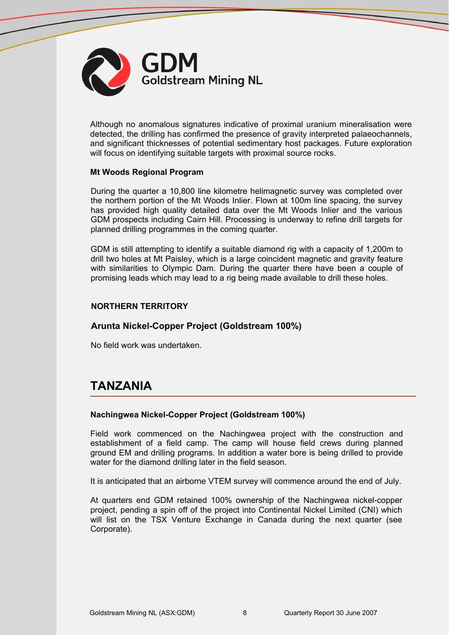

Although no anomalous signatures indicative of proximal uranium mineralisation were detected, the drilling has confirmed the presence of gravity interpreted palaeochannels, and significant thicknesses of potential sedimentary host packages. Future exploration will focus on identifying suitable targets with proximal source rocks.

#### **Mt Woods Regional Program**

During the quarter a 10,800 line kilometre helimagnetic survey was completed over the northern portion of the Mt Woods Inlier. Flown at 100m line spacing, the survey has provided high quality detailed data over the Mt Woods Inlier and the various GDM prospects including Cairn Hill. Processing is underway to refine drill targets for planned drilling programmes in the coming quarter.

GDM is still attempting to identify a suitable diamond rig with a capacity of 1,200m to drill two holes at Mt Paisley, which is a large coincident magnetic and gravity feature with similarities to Olympic Dam. During the quarter there have been a couple of promising leads which may lead to a rig being made available to drill these holes.

#### **NORTHERN TERRITORY**

### **Arunta Nickel-Copper Project (Goldstream 100%)**

No field work was undertaken.

# **TANZANIA**

#### **Nachingwea Nickel-Copper Project (Goldstream 100%)**

Field work commenced on the Nachingwea project with the construction and establishment of a field camp. The camp will house field crews during planned ground EM and drilling programs. In addition a water bore is being drilled to provide water for the diamond drilling later in the field season.

It is anticipated that an airborne VTEM survey will commence around the end of July.

At quarters end GDM retained 100% ownership of the Nachingwea nickel-copper project, pending a spin off of the project into Continental Nickel Limited (CNI) which will list on the TSX Venture Exchange in Canada during the next quarter (see Corporate).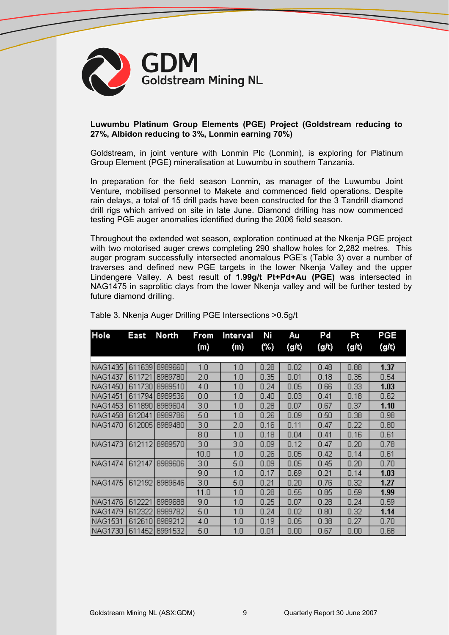

#### **Luwumbu Platinum Group Elements (PGE) Project (Goldstream reducing to 27%, Albidon reducing to 3%, Lonmin earning 70%)**

Goldstream, in joint venture with Lonmin Plc (Lonmin), is exploring for Platinum Group Element (PGE) mineralisation at Luwumbu in southern Tanzania.

In preparation for the field season Lonmin, as manager of the Luwumbu Joint Venture, mobilised personnel to Makete and commenced field operations. Despite rain delays, a total of 15 drill pads have been constructed for the 3 Tandrill diamond drill rigs which arrived on site in late June. Diamond drilling has now commenced testing PGE auger anomalies identified during the 2006 field season.

Throughout the extended wet season, exploration continued at the Nkenja PGE project with two motorised auger crews completing 290 shallow holes for 2,282 metres. This auger program successfully intersected anomalous PGE's (Table 3) over a number of traverses and defined new PGE targets in the lower Nkenja Valley and the upper Lindengere Valley. A best result of **1.99g/t Pt+Pd+Au (PGE)** was intersected in NAG1475 in saprolitic clays from the lower Nkenja valley and will be further tested by future diamond drilling.

| Hole           | East   | North          | From<br>(m) | Interval<br>(m) | Ni<br>(%) | Au<br>(g/t) | Pd<br>(g/t) | Pt<br>(g/t)       | PGE<br>(g/t) |
|----------------|--------|----------------|-------------|-----------------|-----------|-------------|-------------|-------------------|--------------|
|                |        |                |             |                 |           |             |             |                   |              |
| <b>NAG1435</b> | 611639 | 8989660        | 1.0         | 1.0             | 0.28      | 0.02        | 0.48        | 0.88              | 1.37         |
| NAG1437        | 611721 | 8989780        | 2.0         | 1.0             | 0.35      | 0.01        | 0.18        | 0.35              | 0.54         |
| NAG1450        | 611730 | 8989510        | 4.0         | 1.0             | 0.24      | 0.05        | 0.66        | 0.33 <sub>1</sub> | 1.03         |
| <b>NAG1451</b> | 611794 | 8989536        | 0.0         | 1.0             | 0.40      | 0.03        | 0.41        | 0.18              | 0.62         |
| <b>NAG1453</b> | 611890 | 8989604        | 3.0         | 1.0             | 0.28      | 0.07        | 0.67        | 0.37              | 1.10         |
| NAG1458        | 612041 | 8989786        | 5.0         | 1.0             | 0.26      | 0.09        | 0.50        | 0.38              | 0.98         |
| NAG1470        | 612005 | 8989480        | 3.0         | 2.0             | 0.16      | 0.11        | 0.47        | 0.22              | 0.80         |
|                |        |                | 8.0         | 1.0             | 0.18      | 0.04        | 0.41        | 0.16              | 0.61         |
| <b>NAG1473</b> | 612112 | 8989570        | 3.0         | 3.0             | 0.09      | 0.12        | 0.47        | 0.20              | 0.78         |
|                |        |                | 10.0        | 1.0             | 0.26      | 0.05        | 0.42        | 0.14              | 0.61         |
| NAG1474        | 612147 | 8989606        | 3.0         | 5.0             | 0.09      | 0.05        | 0.45        | 0.20              | 0.70         |
|                |        |                | 9.0         | 1.0             | 0.17      | 0.69        | 0.21        | 0.14              | 1.03         |
| NAG1475        | 612192 | 8989646        | 3.0         | 5.0             | 0.21      | 0.20        | 0.76        | 0.32 <sub>1</sub> | 1.27         |
|                |        |                | 11.0        | 1.0             | 0.28      | 0.55        | 0.85        | 0.59              | 1.99         |
| <b>NAG1476</b> | 612221 | 8989688        | 9.0         | 1.0             | 0.25      | 0.07        | 0.28        | 0.24              | 0.59         |
| <b>NAG1479</b> | 612322 | 8989782        | 5.0         | 1.0             | 0.24      | 0.02        | 0.80        | 0.32              | 1.14         |
| NAG1531        | 612610 | 8989212        | 4.0         | 1.0             | 0.19      | 0.05        | 0.38        | 0.27              | 0.70         |
| NAG1730 I      |        | 611452 8991532 | 5.0         | 1.0             | 0.01      | 0.00        | 0.67        | 0.00.             | 0.68         |

Table 3. Nkenja Auger Drilling PGE Intersections >0.5g/t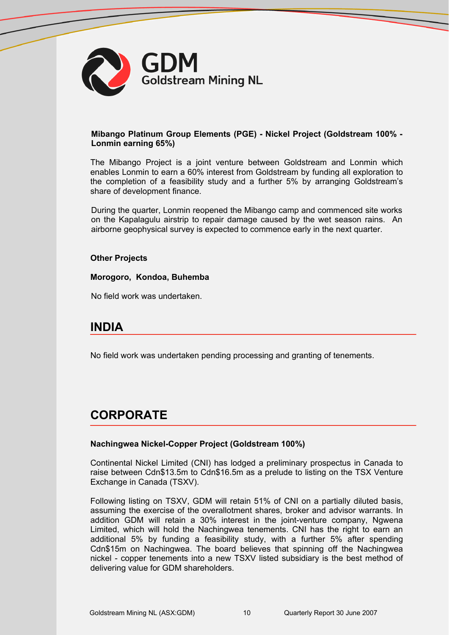

#### **Mibango Platinum Group Elements (PGE) - Nickel Project (Goldstream 100% - Lonmin earning 65%)**

The Mibango Project is a joint venture between Goldstream and Lonmin which enables Lonmin to earn a 60% interest from Goldstream by funding all exploration to the completion of a feasibility study and a further 5% by arranging Goldstream's share of development finance.

During the quarter, Lonmin reopened the Mibango camp and commenced site works on the Kapalagulu airstrip to repair damage caused by the wet season rains. An airborne geophysical survey is expected to commence early in the next quarter.

#### **Other Projects**

**Morogoro, Kondoa, Buhemba**

No field work was undertaken.

# **INDIA**

No field work was undertaken pending processing and granting of tenements.

# **CORPORATE**

#### **Nachingwea Nickel-Copper Project (Goldstream 100%)**

Continental Nickel Limited (CNI) has lodged a preliminary prospectus in Canada to raise between Cdn\$13.5m to Cdn\$16.5m as a prelude to listing on the TSX Venture Exchange in Canada (TSXV).

Following listing on TSXV, GDM will retain 51% of CNI on a partially diluted basis, assuming the exercise of the overallotment shares, broker and advisor warrants. In addition GDM will retain a 30% interest in the joint-venture company, Ngwena Limited, which will hold the Nachingwea tenements. CNI has the right to earn an additional 5% by funding a feasibility study, with a further 5% after spending Cdn\$15m on Nachingwea. The board believes that spinning off the Nachingwea nickel - copper tenements into a new TSXV listed subsidiary is the best method of delivering value for GDM shareholders.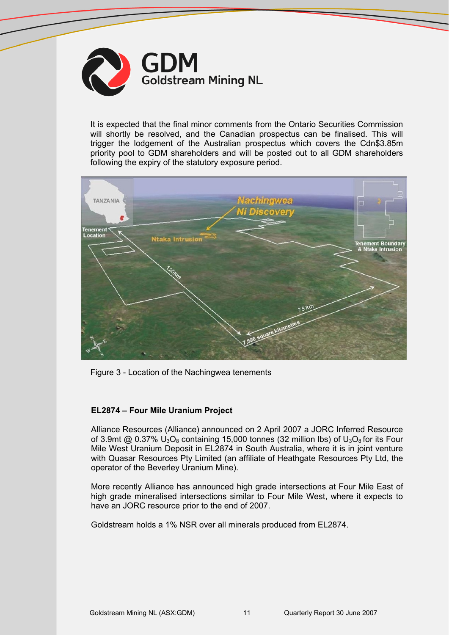

It is expected that the final minor comments from the Ontario Securities Commission will shortly be resolved, and the Canadian prospectus can be finalised. This will trigger the lodgement of the Australian prospectus which covers the Cdn\$3.85m priority pool to GDM shareholders and will be posted out to all GDM shareholders following the expiry of the statutory exposure period.



Figure 3 - Location of the Nachingwea tenements

### **EL2874 – Four Mile Uranium Project**

Alliance Resources (Alliance) announced on 2 April 2007 a JORC Inferred Resource of 3.9mt  $@$  0.37%  $U_3O_8$  containing 15,000 tonnes (32 million lbs) of  $U_3O_8$  for its Four Mile West Uranium Deposit in EL2874 in South Australia, where it is in joint venture with Quasar Resources Pty Limited (an affiliate of Heathgate Resources Pty Ltd, the operator of the Beverley Uranium Mine).

More recently Alliance has announced high grade intersections at Four Mile East of high grade mineralised intersections similar to Four Mile West, where it expects to have an JORC resource prior to the end of 2007.

Goldstream holds a 1% NSR over all minerals produced from EL2874.